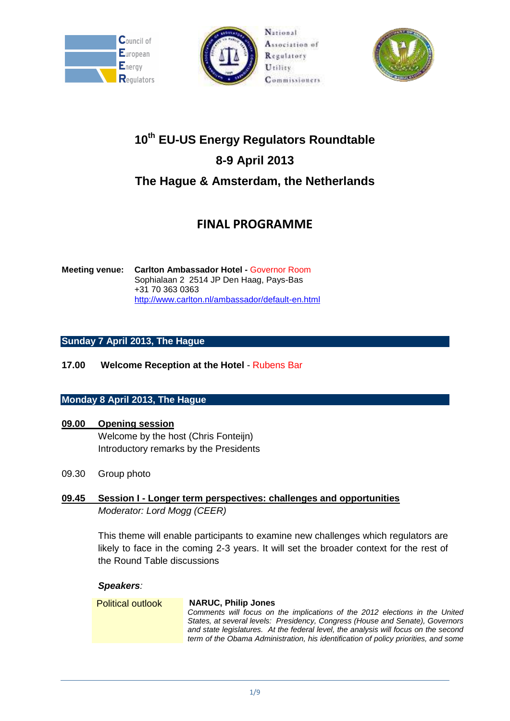





# **10th EU-US Energy Regulators Roundtable 8-9 April 2013 The Hague & Amsterdam, the Netherlands**

## **FINAL PROGRAMME**

**Meeting venue: Carlton Ambassador Hotel -** Governor Room Sophialaan 2 2514 JP Den Haag, Pays-Bas +31 70 363 0363 <http://www.carlton.nl/ambassador/default-en.html>

### **Sunday 7 April 2013, The Hague**

**17.00 Welcome Reception at the Hotel** - Rubens Bar

### **Monday 8 April 2013, The Hague**

### **09.00 Opening session**

Welcome by the host (Chris Fonteijn) Introductory remarks by the Presidents

09.30 Group photo

### **09.45 Session I - Longer term perspectives: challenges and opportunities** *Moderator: Lord Mogg (CEER)*

This theme will enable participants to examine new challenges which regulators are likely to face in the coming 2-3 years. It will set the broader context for the rest of the Round Table discussions

### *Speakers:*

Political outlook **NARUC, Philip Jones** *Comments will focus on the implications of the 2012 elections in the United States, at several levels: Presidency, Congress (House and Senate), Governors and state legislatures. At the federal level, the analysis will focus on the second term of the Obama Administration, his identification of policy priorities, and some*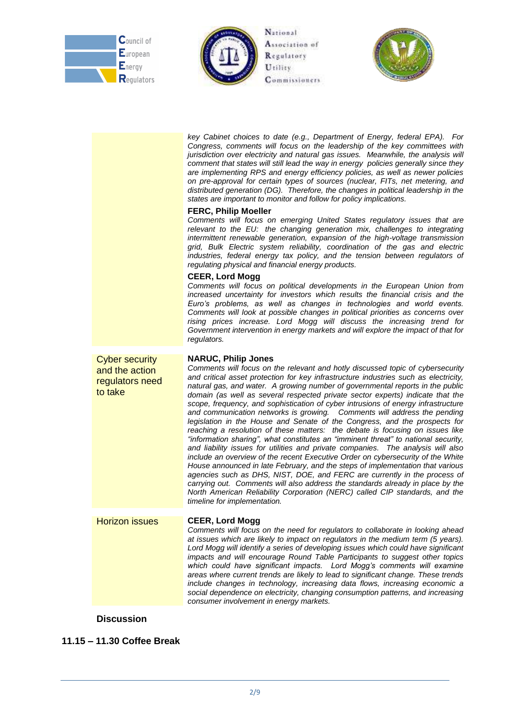





|                                                                       | key Cabinet choices to date (e.g., Department of Energy, federal EPA). For<br>Congress, comments will focus on the leadership of the key committees with<br>jurisdiction over electricity and natural gas issues. Meanwhile, the analysis will<br>comment that states will still lead the way in energy policies generally since they<br>are implementing RPS and energy efficiency policies, as well as newer policies<br>on pre-approval for certain types of sources (nuclear, FITs, net metering, and<br>distributed generation (DG). Therefore, the changes in political leadership in the<br>states are important to monitor and follow for policy implications.<br><b>FERC, Philip Moeller</b><br>Comments will focus on emerging United States regulatory issues that are<br>relevant to the EU: the changing generation mix, challenges to integrating<br>intermittent renewable generation, expansion of the high-voltage transmission<br>grid, Bulk Electric system reliability, coordination of the gas and electric<br>industries, federal energy tax policy, and the tension between regulators of<br>regulating physical and financial energy products.<br><b>CEER, Lord Mogg</b><br>Comments will focus on political developments in the European Union from<br>increased uncertainty for investors which results the financial crisis and the<br>Euro's problems, as well as changes in technologies and world events.<br>Comments will look at possible changes in political priorities as concerns over<br>rising prices increase. Lord Mogg will discuss the increasing trend for<br>Government intervention in energy markets and will explore the impact of that for<br>regulators. |
|-----------------------------------------------------------------------|-----------------------------------------------------------------------------------------------------------------------------------------------------------------------------------------------------------------------------------------------------------------------------------------------------------------------------------------------------------------------------------------------------------------------------------------------------------------------------------------------------------------------------------------------------------------------------------------------------------------------------------------------------------------------------------------------------------------------------------------------------------------------------------------------------------------------------------------------------------------------------------------------------------------------------------------------------------------------------------------------------------------------------------------------------------------------------------------------------------------------------------------------------------------------------------------------------------------------------------------------------------------------------------------------------------------------------------------------------------------------------------------------------------------------------------------------------------------------------------------------------------------------------------------------------------------------------------------------------------------------------------------------------------------------------------------------------------|
| <b>Cyber security</b><br>and the action<br>regulators need<br>to take | <b>NARUC, Philip Jones</b><br>Comments will focus on the relevant and hotly discussed topic of cybersecurity<br>and critical asset protection for key infrastructure industries such as electricity,<br>natural gas, and water. A growing number of governmental reports in the public<br>domain (as well as several respected private sector experts) indicate that the<br>scope, frequency, and sophistication of cyber intrusions of energy infrastructure<br>and communication networks is growing.  Comments will address the pending<br>legislation in the House and Senate of the Congress, and the prospects for<br>reaching a resolution of these matters: the debate is focusing on issues like<br>"information sharing", what constitutes an "imminent threat" to national security,<br>and liability issues for utilities and private companies. The analysis will also<br>include an overview of the recent Executive Order on cybersecurity of the White<br>House announced in late February, and the steps of implementation that various<br>agencies such as DHS, NIST, DOE, and FERC are currently in the process of<br>carrying out. Comments will also address the standards already in place by the<br>North American Reliability Corporation (NERC) called CIP standards, and the<br>timeline for implementation.                                                                                                                                                                                                                                                                                                                                                                    |
| Horizon issues                                                        | <b>CEER, Lord Mogg</b><br>Comments will focus on the need for regulators to collaborate in looking ahead<br>at issues which are likely to impact on regulators in the medium term (5 years).<br>Lord Mogg will identify a series of developing issues which could have significant<br>impacts and will encourage Round Table Participants to suggest other topics<br>which could have significant impacts. Lord Mogg's comments will examine<br>areas where current trends are likely to lead to significant change. These trends<br>include changes in technology, increasing data flows, increasing economic a<br>social dependence on electricity, changing consumption patterns, and increasing<br>consumer involvement in energy markets.                                                                                                                                                                                                                                                                                                                                                                                                                                                                                                                                                                                                                                                                                                                                                                                                                                                                                                                                                            |

**Discussion**

**11.15 – 11.30 Coffee Break**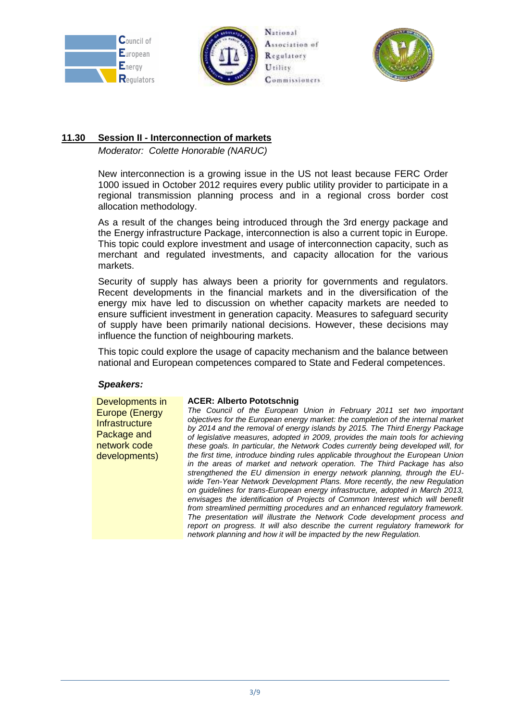





### **11.30 Session II - Interconnection of markets**

*Moderator: Colette Honorable (NARUC)*

New interconnection is a growing issue in the US not least because FERC Order 1000 issued in October 2012 requires every public utility provider to participate in a regional transmission planning process and in a regional cross border cost allocation methodology.

As a result of the changes being introduced through the 3rd energy package and the Energy infrastructure Package, interconnection is also a current topic in Europe. This topic could explore investment and usage of interconnection capacity, such as merchant and regulated investments, and capacity allocation for the various markets.

Security of supply has always been a priority for governments and regulators. Recent developments in the financial markets and in the diversification of the energy mix have led to discussion on whether capacity markets are needed to ensure sufficient investment in generation capacity. Measures to safeguard security of supply have been primarily national decisions. However, these decisions may influence the function of neighbouring markets.

This topic could explore the usage of capacity mechanism and the balance between national and European competences compared to State and Federal competences.

### *Speakers:*

Developments in Europe (Energy **Infrastructure** Package and network code developments)

### **ACER: Alberto Pototschnig**

*The Council of the European Union in February 2011 set two important objectives for the European energy market: the completion of the internal market by 2014 and the removal of energy islands by 2015. The Third Energy Package of legislative measures, adopted in 2009, provides the main tools for achieving these goals. In particular, the Network Codes currently being developed will, for the first time, introduce binding rules applicable throughout the European Union in the areas of market and network operation. The Third Package has also strengthened the EU dimension in energy network planning, through the EUwide Ten-Year Network Development Plans. More recently, the new Regulation on guidelines for trans-European energy infrastructure, adopted in March 2013,*  envisages the identification of Projects of Common Interest which will benefit *from streamlined permitting procedures and an enhanced regulatory framework. The presentation will illustrate the Network Code development process and report on progress. It will also describe the current regulatory framework for network planning and how it will be impacted by the new Regulation.*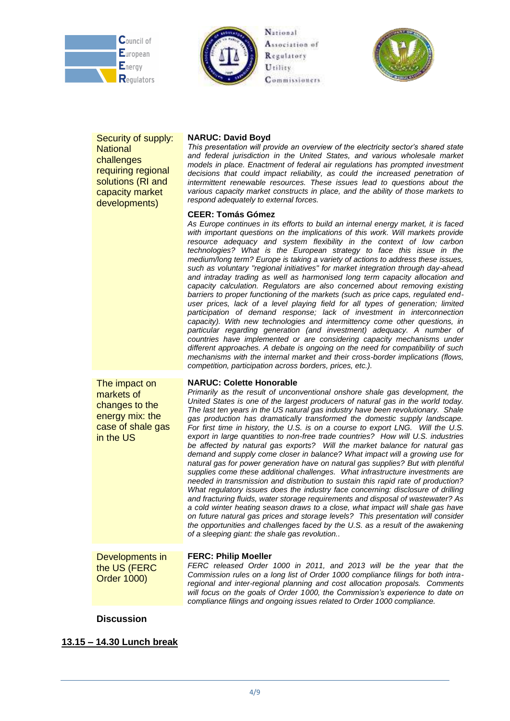





Security of supply: **National** challenges requiring regional solutions (RI and capacity market developments)

#### **NARUC: David Boyd**

*This presentation will provide an overview of the electricity sector's shared state and federal jurisdiction in the United States, and various wholesale market models in place. Enactment of federal air regulations has prompted investment*  decisions that could impact reliability, as could the increased penetration of *intermittent renewable resources. These issues lead to questions about the various capacity market constructs in place, and the ability of those markets to respond adequately to external forces.* 

#### **CEER: Tomás Gómez**

*As Europe continues in its efforts to build an internal energy market, it is faced with important questions on the implications of this work. Will markets provide resource adequacy and system flexibility in the context of low carbon technologies? What is the European strategy to face this issue in the medium/long term? Europe is taking a variety of actions to address these issues, such as voluntary "regional initiatives" for market integration through day-ahead and intraday trading as well as harmonised long term capacity allocation and capacity calculation. Regulators are also concerned about removing existing barriers to proper functioning of the markets (such as price caps, regulated enduser prices, lack of a level playing field for all types of generation; limited participation of demand response; lack of investment in interconnection capacity). With new technologies and intermittency come other questions, in particular regarding generation (and investment) adequacy. A number of countries have implemented or are considering capacity mechanisms under different approaches. A debate is ongoing on the need for compatibility of such mechanisms with the internal market and their cross-border implications (flows, competition, participation across borders, prices, etc.).*

The impact on markets of changes to the energy mix: the case of shale gas in the US

#### **NARUC: Colette Honorable**

*Primarily as the result of unconventional onshore shale gas development, the United States is one of the largest producers of natural gas in the world today. The last ten years in the US natural gas industry have been revolutionary. Shale gas production has dramatically transformed the domestic supply landscape. For first time in history, the U.S. is on a course to export LNG. Will the U.S. export in large quantities to non-free trade countries? How will U.S. industries be affected by natural gas exports? Will the market balance for natural gas demand and supply come closer in balance? What impact will a growing use for natural gas for power generation have on natural gas supplies? But with plentiful supplies come these additional challenges. What infrastructure investments are needed in transmission and distribution to sustain this rapid rate of production? What regulatory issues does the industry face concerning: disclosure of drilling and fracturing fluids, water storage requirements and disposal of wastewater? As a cold winter heating season draws to a close, what impact will shale gas have on future natural gas prices and storage levels? This presentation will consider the opportunities and challenges faced by the U.S. as a result of the awakening of a sleeping giant: the shale gas revolution..* 

Developments in the US (FERC Order 1000)

#### **FERC: Philip Moeller**

*FERC released Order 1000 in 2011, and 2013 will be the year that the Commission rules on a long list of Order 1000 compliance filings for both intraregional and inter-regional planning and cost allocation proposals. Comments will focus on the goals of Order 1000, the Commission's experience to date on compliance filings and ongoing issues related to Order 1000 compliance.*

### **Discussion**

**13.15 – 14.30 Lunch break**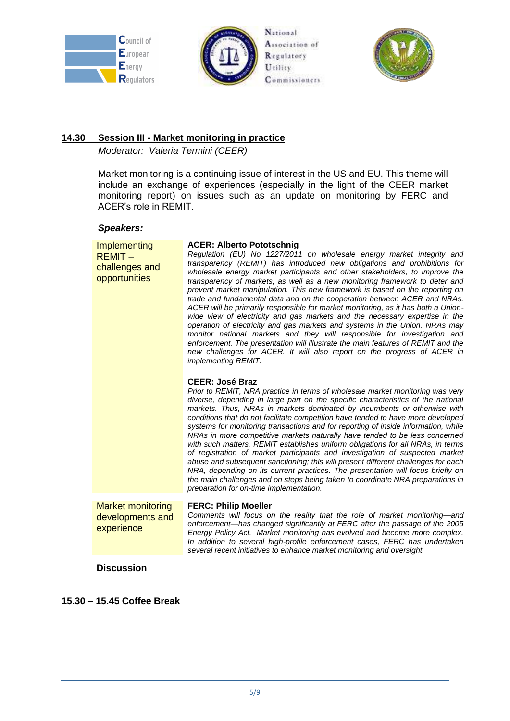





### **14.30 Session III - Market monitoring in practice**

*Moderator: Valeria Termini (CEER)*

Market monitoring is a continuing issue of interest in the US and EU. This theme will include an exchange of experiences (especially in the light of the CEER market monitoring report) on issues such as an update on monitoring by FERC and ACER's role in REMIT.

### *Speakers:*

| Implementing<br>$REMIT -$<br>challenges and<br>opportunities | <b>ACER: Alberto Pototschnig</b><br>Regulation (EU) No 1227/2011 on wholesale energy market integrity and<br>transparency (REMIT) has introduced new obligations and prohibitions for<br>wholesale energy market participants and other stakeholders, to improve the<br>transparency of markets, as well as a new monitoring framework to deter and<br>prevent market manipulation. This new framework is based on the reporting on<br>trade and fundamental data and on the cooperation between ACER and NRAs.<br>ACER will be primarily responsible for market monitoring, as it has both a Union-<br>wide view of electricity and gas markets and the necessary expertise in the<br>operation of electricity and gas markets and systems in the Union. NRAs may<br>monitor national markets and they will responsible for investigation and<br>enforcement. The presentation will illustrate the main features of REMIT and the<br>new challenges for ACER. It will also report on the progress of ACER in<br><i>implementing REMIT.</i><br><b>CEER: José Braz</b><br>Prior to REMIT, NRA practice in terms of wholesale market monitoring was very<br>diverse, depending in large part on the specific characteristics of the national<br>markets. Thus, NRAs in markets dominated by incumbents or otherwise with<br>conditions that do not facilitate competition have tended to have more developed<br>systems for monitoring transactions and for reporting of inside information, while<br>NRAs in more competitive markets naturally have tended to be less concerned<br>with such matters. REMIT establishes uniform obligations for all NRAs, in terms<br>of registration of market participants and investigation of suspected market<br>abuse and subsequent sanctioning; this will present different challenges for each<br>NRA, depending on its current practices. The presentation will focus briefly on<br>the main challenges and on steps being taken to coordinate NRA preparations in<br>preparation for on-time implementation. |
|--------------------------------------------------------------|---------------------------------------------------------------------------------------------------------------------------------------------------------------------------------------------------------------------------------------------------------------------------------------------------------------------------------------------------------------------------------------------------------------------------------------------------------------------------------------------------------------------------------------------------------------------------------------------------------------------------------------------------------------------------------------------------------------------------------------------------------------------------------------------------------------------------------------------------------------------------------------------------------------------------------------------------------------------------------------------------------------------------------------------------------------------------------------------------------------------------------------------------------------------------------------------------------------------------------------------------------------------------------------------------------------------------------------------------------------------------------------------------------------------------------------------------------------------------------------------------------------------------------------------------------------------------------------------------------------------------------------------------------------------------------------------------------------------------------------------------------------------------------------------------------------------------------------------------------------------------------------------------------------------------------------------------------------------------------------------------------------------------------------------------------|
| <b>Market monitoring</b><br>developments and<br>experience   | <b>FERC: Philip Moeller</b><br>Comments will focus on the reality that the role of market monitoring-and<br>enforcement-has changed significantly at FERC after the passage of the 2005<br>Energy Policy Act. Market monitoring has evolved and become more complex.<br>In addition to several high-profile enforcement cases, FERC has undertaken<br>several recent initiatives to enhance market monitoring and oversight.                                                                                                                                                                                                                                                                                                                                                                                                                                                                                                                                                                                                                                                                                                                                                                                                                                                                                                                                                                                                                                                                                                                                                                                                                                                                                                                                                                                                                                                                                                                                                                                                                            |
| <b>Discussion</b>                                            |                                                                                                                                                                                                                                                                                                                                                                                                                                                                                                                                                                                                                                                                                                                                                                                                                                                                                                                                                                                                                                                                                                                                                                                                                                                                                                                                                                                                                                                                                                                                                                                                                                                                                                                                                                                                                                                                                                                                                                                                                                                         |

**15.30 – 15.45 Coffee Break**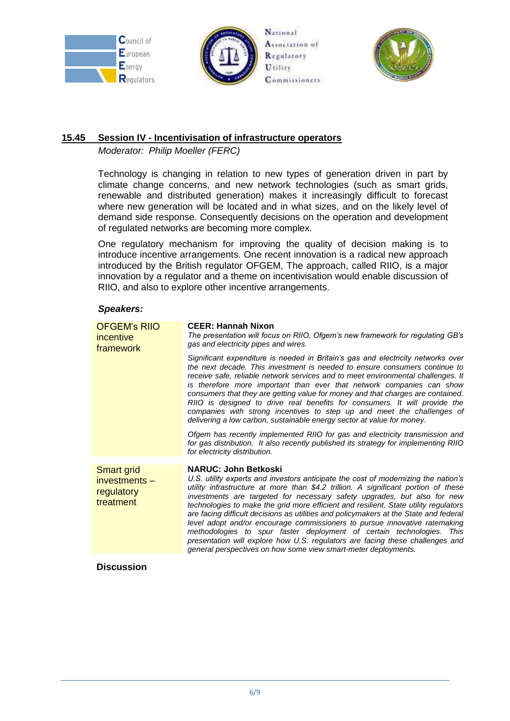





### **15.45 Session IV - Incentivisation of infrastructure operators**

*Moderator: Philip Moeller (FERC)*

Technology is changing in relation to new types of generation driven in part by climate change concerns, and new network technologies (such as smart grids, renewable and distributed generation) makes it increasingly difficult to forecast where new generation will be located and in what sizes, and on the likely level of demand side response. Consequently decisions on the operation and development of regulated networks are becoming more complex.

One regulatory mechanism for improving the quality of decision making is to introduce incentive arrangements. One recent innovation is a radical new approach introduced by the British regulator OFGEM, The approach, called RIIO, is a major innovation by a regulator and a theme on incentivisation would enable discussion of RIIO, and also to explore other incentive arrangements.

### *Speakers:*

| <b>OFGEM's RIIO</b><br>incentive<br>framework                 | <b>CEER: Hannah Nixon</b><br>The presentation will focus on RIIO, Ofgem's new framework for regulating GB's<br>gas and electricity pipes and wires.                                                                                                                                                                                                                                                                                                                                                                                                                                                                                                                                                                                                                            |
|---------------------------------------------------------------|--------------------------------------------------------------------------------------------------------------------------------------------------------------------------------------------------------------------------------------------------------------------------------------------------------------------------------------------------------------------------------------------------------------------------------------------------------------------------------------------------------------------------------------------------------------------------------------------------------------------------------------------------------------------------------------------------------------------------------------------------------------------------------|
|                                                               | Significant expenditure is needed in Britain's gas and electricity networks over<br>the next decade. This investment is needed to ensure consumers continue to<br>receive safe, reliable network services and to meet environmental challenges. It<br>is therefore more important than ever that network companies can show<br>consumers that they are getting value for money and that charges are contained.<br>RIIO is designed to drive real benefits for consumers. It will provide the<br>companies with strong incentives to step up and meet the challenges of<br>delivering a low carbon, sustainable energy sector at value for money.<br>Ofgem has recently implemented RIIO for gas and electricity transmission and                                               |
|                                                               | for gas distribution. It also recently published its strategy for implementing RIIO<br>for electricity distribution.                                                                                                                                                                                                                                                                                                                                                                                                                                                                                                                                                                                                                                                           |
| <b>Smart grid</b><br>investments -<br>regulatory<br>treatment | <b>NARUC: John Betkoski</b><br>U.S. utility experts and investors anticipate the cost of modernizing the nation's<br>utility infrastructure at more than \$4.2 trillion. A significant portion of these<br>investments are targeted for necessary safety upgrades, but also for new<br>technologies to make the grid more efficient and resilient. State utility regulators<br>are facing difficult decisions as utilities and policymakers at the State and federal<br>level adopt and/or encourage commissioners to pursue innovative ratemaking<br>methodologies to spur faster deployment of certain technologies. This<br>presentation will explore how U.S. regulators are facing these challenges and<br>general perspectives on how some view smart-meter deployments. |
|                                                               |                                                                                                                                                                                                                                                                                                                                                                                                                                                                                                                                                                                                                                                                                                                                                                                |

### **Discussion**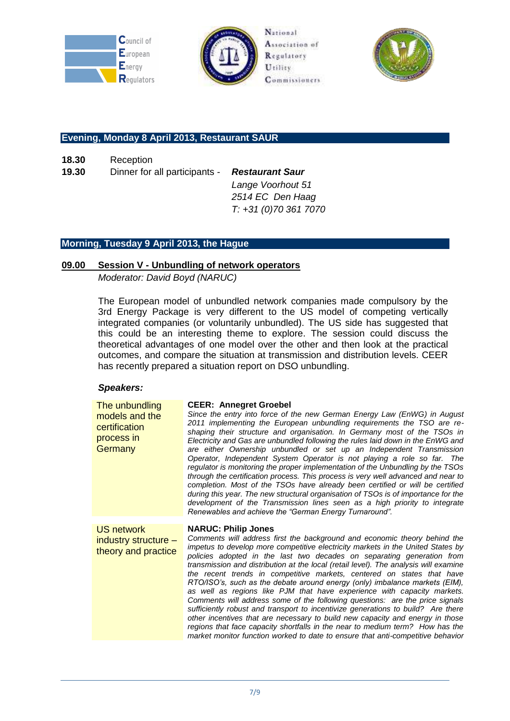





### **Evening, Monday 8 April 2013, Restaurant SAUR**

**18.30** Reception

**19.30** Dinner for all participants - *Restaurant Saur*

*Lange Voorhout 51 2514 EC Den Haag T: +31 (0)70 361 7070*

### **Morning, Tuesday 9 April 2013, the Hague**

### **09.00 Session V - Unbundling of network operators**

*Moderator: David Boyd (NARUC)*

The European model of unbundled network companies made compulsory by the 3rd Energy Package is very different to the US model of competing vertically integrated companies (or voluntarily unbundled). The US side has suggested that this could be an interesting theme to explore. The session could discuss the theoretical advantages of one model over the other and then look at the practical outcomes, and compare the situation at transmission and distribution levels. CEER has recently prepared a situation report on DSO unbundling.

### *Speakers:*

| The unbundling<br>models and the<br>certification<br>process in<br>Germany | <b>CEER: Annegret Groebel</b><br>Since the entry into force of the new German Energy Law (EnWG) in August<br>2011 implementing the European unbundling requirements the TSO are re-<br>shaping their structure and organisation. In Germany most of the TSOs in<br>Electricity and Gas are unbundled following the rules laid down in the EnWG and<br>are either Ownership unbundled or set up an Independent Transmission<br>Operator, Independent System Operator is not playing a role so far. The<br>regulator is monitoring the proper implementation of the Unbundling by the TSOs<br>through the certification process. This process is very well advanced and near to<br>completion. Most of the TSOs have already been certified or will be certified<br>during this year. The new structural organisation of TSOs is of importance for the<br>development of the Transmission lines seen as a high priority to integrate<br>Renewables and achieve the "German Energy Turnaround".                              |
|----------------------------------------------------------------------------|---------------------------------------------------------------------------------------------------------------------------------------------------------------------------------------------------------------------------------------------------------------------------------------------------------------------------------------------------------------------------------------------------------------------------------------------------------------------------------------------------------------------------------------------------------------------------------------------------------------------------------------------------------------------------------------------------------------------------------------------------------------------------------------------------------------------------------------------------------------------------------------------------------------------------------------------------------------------------------------------------------------------------|
| <b>US network</b><br>industry structure -<br>theory and practice           | <b>NARUC: Philip Jones</b><br>Comments will address first the background and economic theory behind the<br>impetus to develop more competitive electricity markets in the United States by<br>policies adopted in the last two decades on separating generation from<br>transmission and distribution at the local (retail level). The analysis will examine<br>the recent trends in competitive markets, centered on states that have<br>RTO/ISO's, such as the debate around energy (only) imbalance markets (EIM),<br>as well as regions like PJM that have experience with capacity markets.<br>Comments will address some of the following questions: are the price signals<br>sufficiently robust and transport to incentivize generations to build? Are there<br>other incentives that are necessary to build new capacity and energy in those<br>regions that face capacity shortfalls in the near to medium term? How has the<br>market monitor function worked to date to ensure that anti-competitive behavior |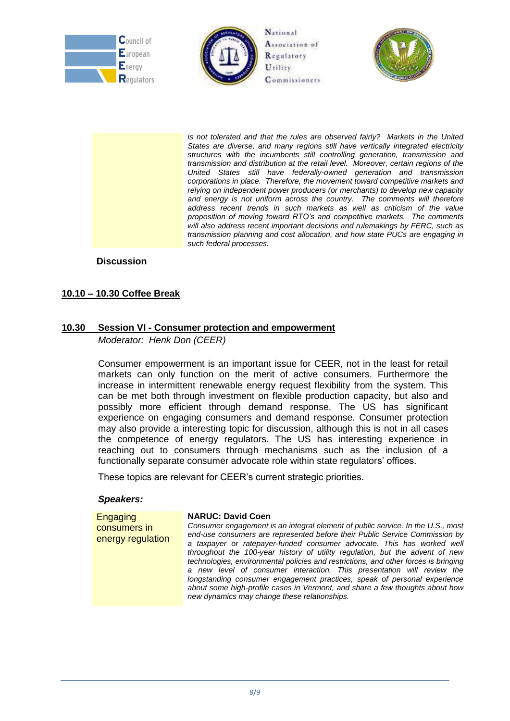





is not tolerated and that the rules are observed fairly? Markets in the United *States are diverse, and many regions still have vertically integrated electricity structures with the incumbents still controlling generation, transmission and transmission and distribution at the retail level. Moreover, certain regions of the United States still have federally-owned generation and transmission corporations in place. Therefore, the movement toward competitive markets and relying on independent power producers (or merchants) to develop new capacity and energy is not uniform across the country. The comments will therefore address recent trends in such markets as well as criticism of the value proposition of moving toward RTO's and competitive markets. The comments will also address recent important decisions and rulemakings by FERC, such as transmission planning and cost allocation, and how state PUCs are engaging in such federal processes.*

**Discussion**

### **10.10 – 10.30 Coffee Break**

### **10.30 Session VI - Consumer protection and empowerment**

*Moderator: Henk Don (CEER)*

Consumer empowerment is an important issue for CEER, not in the least for retail markets can only function on the merit of active consumers. Furthermore the increase in intermittent renewable energy request flexibility from the system. This can be met both through investment on flexible production capacity, but also and possibly more efficient through demand response. The US has significant experience on engaging consumers and demand response. Consumer protection may also provide a interesting topic for discussion, although this is not in all cases the competence of energy regulators. The US has interesting experience in reaching out to consumers through mechanisms such as the inclusion of a functionally separate consumer advocate role within state regulators' offices.

These topics are relevant for CEER's current strategic priorities.

#### *Speakers:*

**Engaging** consumers in energy regulation **NARUC: David Coen** *Consumer engagement is an integral element of public service. In the U.S., most end-use consumers are represented before their Public Service Commission by a taxpayer or ratepayer-funded consumer advocate. This has worked well throughout the 100-year history of utility regulation, but the advent of new technologies, environmental policies and restrictions, and other forces is bringing a new level of consumer interaction. This presentation will review the longstanding consumer engagement practices, speak of personal experience about some high-profile cases in Vermont, and share a few thoughts about how new dynamics may change these relationships.*